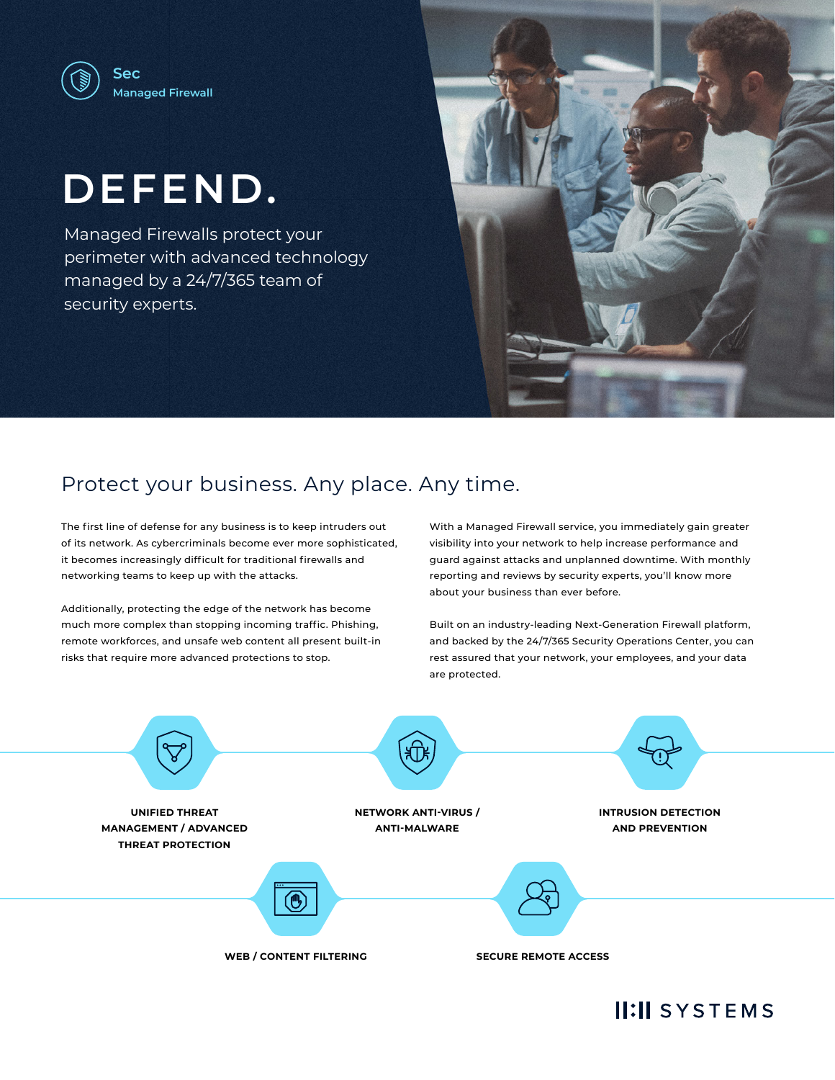

# **DEFEND.**

Managed Firewalls protect your perimeter with advanced technology managed by a 24/7/365 team of security experts.



# Protect your business. Any place. Any time.

The first line of defense for any business is to keep intruders out of its network. As cybercriminals become ever more sophisticated, it becomes increasingly difficult for traditional firewalls and networking teams to keep up with the attacks.

Additionally, protecting the edge of the network has become much more complex than stopping incoming traffic. Phishing, remote workforces, and unsafe web content all present built-in risks that require more advanced protections to stop.

With a Managed Firewall service, you immediately gain greater visibility into your network to help increase performance and guard against attacks and unplanned downtime. With monthly reporting and reviews by security experts, you'll know more about your business than ever before.

Built on an industry-leading Next-Generation Firewall platform, and backed by the 24/7/365 Security Operations Center, you can rest assured that your network, your employees, and your data are protected.



# **II:II SYSTEMS**